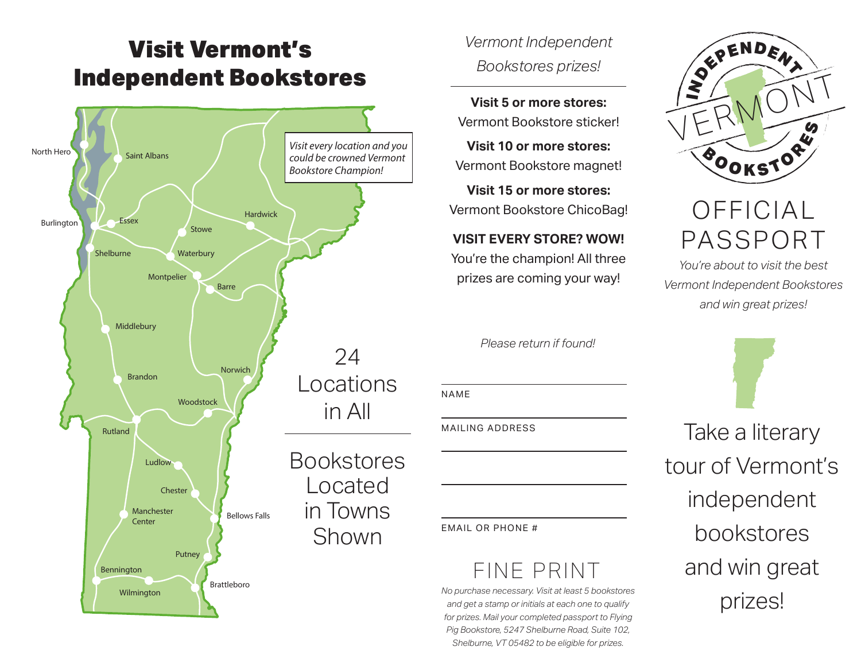## Visit Vermont's Independent Bookstores



*Vermont Independent* 

*Bookstores prizes!*

**Visit 5 or more stores:** Vermont Bookstore sticker!

**Visit 10 or more stores:**  Vermont Bookstore magnet!

**Visit 15 or more stores:**  Vermont Bookstore ChicoBag!

**VISIT EVERY STORE? WOW!** 

You're the champion! All three prizes are coming your way!

*Please return if found!*

NAME

MAILING ADDRESS

EMAIL OR PHONE #

## FINE PRINT

*No purchase necessary. Visit at least 5 bookstores and get a stamp or initials at each one to qualify for prizes. Mail your completed passport to Flying Pig Bookstore, 5247 Shelburne Road, Suite 102, Shelburne, VT 05482 to be eligible for prizes.*



## OFFICIAL PASSPORT

*You're about to visit the best Vermont Independent Bookstores and win great prizes!*

Take a literary tour of Vermont's independent bookstores and win great prizes!